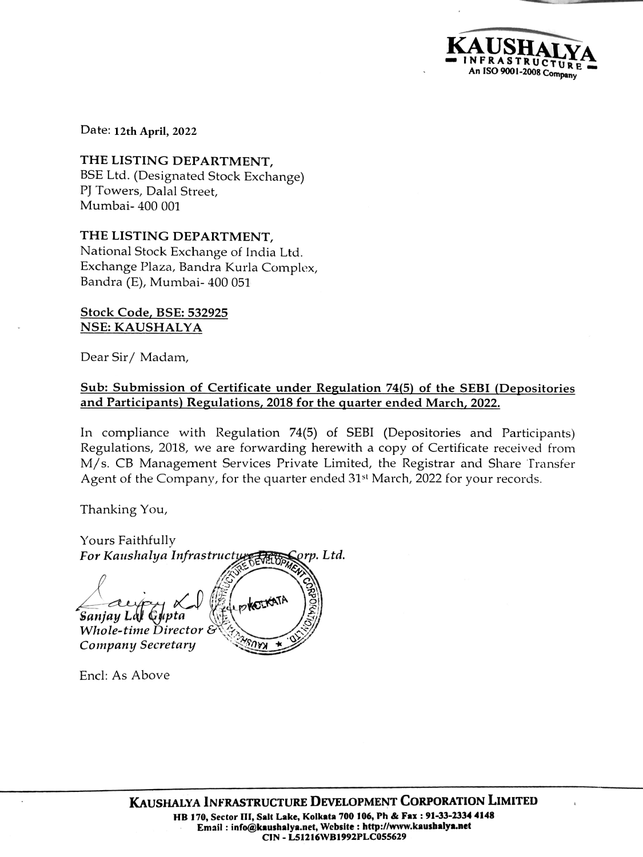An ISO 9001-2008 Company

Date: 12th March, 2022 **12th April, 2022**

THE LISTING DEPARTMENT, BSE Ltd. (Designated Stock Exchange) PJ Towers, Dalal Street, Mumbai- 400 001

THE LISTING DEPARTMENT, National Stock Exchange of India Ltd. Exchange Plaza, Bandra Kurla Complex, Bandra (E), Mumbai- 400 051

## Stock Code, BSE: 532925 NSE: KAUSHALYA

Dear Sir/ Madam,

## Sub: Submission of Certificate under Regulation 74(5) of the SEBI (Depositories and Participants) Regulations, 2018 for the quarter ended March, 2022.

In compliance with Regulation 74(5) of SEBI (Depositories and Participants) Regulations, 2018, we are forwarding herewith a copy of Certificate received from M/s. CB Management Services Private Limited, the Registrar and Share Transfer Agent of the Company, for the quarter ended 31<sup>st</sup> March, 2022 for your records.

Thanking You,

Yours Faithfully For Kaushalya Infrastructure Fran Corp. Ltd. ENTERTAIN Sanjay Lal Gupta (FupkoIKATA) Whole-time Director Company Secretary

Encl: As Above